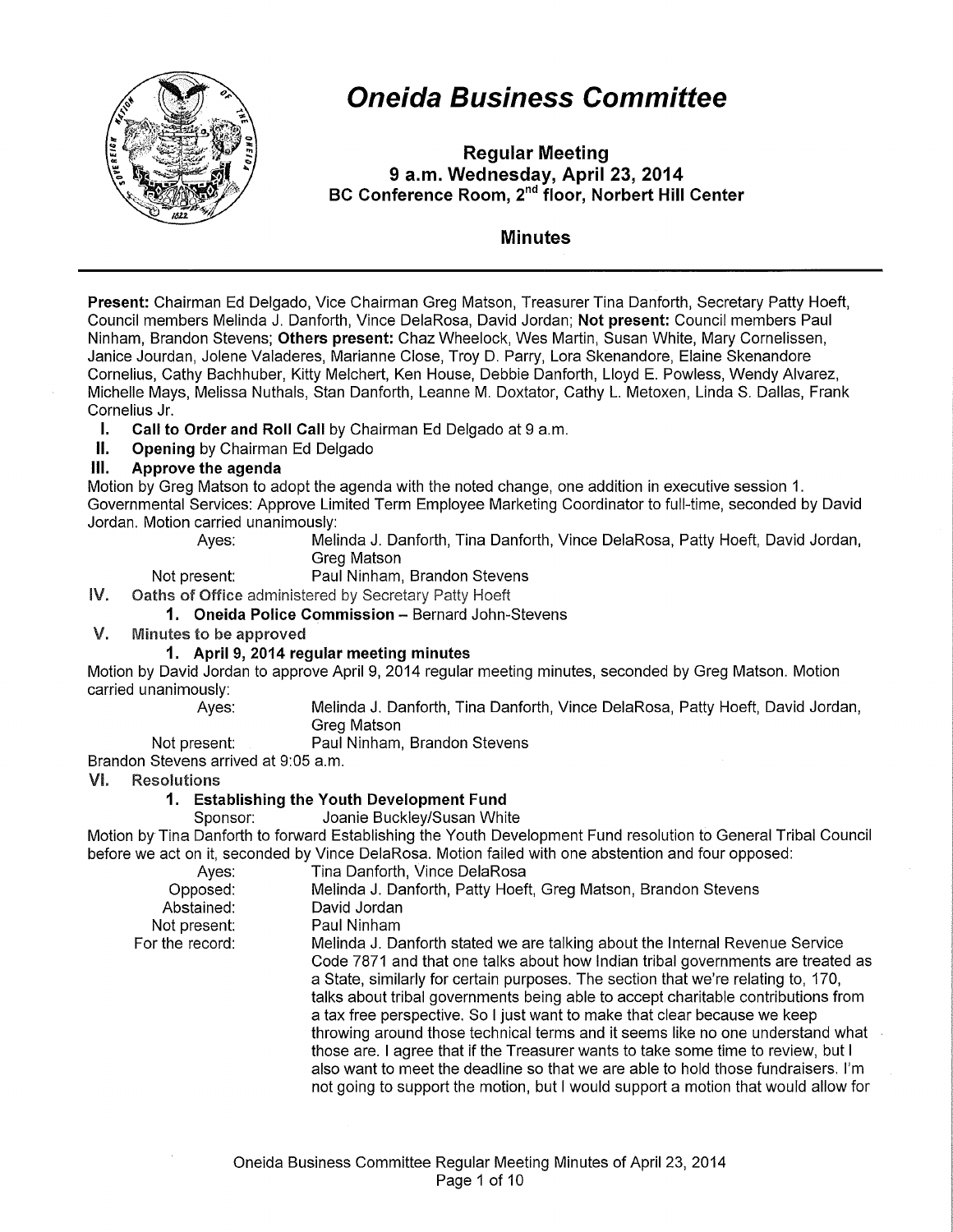

# **Oneida Business Committee**

**Regular Meeting 9 a.m. Wednesday, April 23, 2014 BC Conference Room,** 2"d **floor, Norbert Hill Center** 

# **Minutes**

**Present:** Chairman Ed Delgado, Vice Chairman Greg Matson, Treasurer Tina Danforth, Secretary Patty Hoeft, Council members Melinda J. Danforth, Vince DelaRosa, David Jordan; **Not present:** Council members Paul Ninham, Brandon Stevens; **Others present:** Chaz Wheelock, Wes Martin, Susan White, Mary Cornelissen, Janice Jourdan, Jolene Valaderes, Marianne Close, Troy D. Parry, Lora Skenandore, Elaine Skenandore Cornelius, Cathy Bachhuber, Kitty Melchert, Ken House, Debbie Danforth, Lloyd E. Powless, Wendy Alvarez, Michelle Mays, Melissa Nuthals, Stan Danforth, Leanne M. Doxtater, Cathy L. Metoxen, Linda S. Dallas, Frank Cornelius Jr.

- **I. Call to Order and Roll Call** by Chairman Ed Delgado at 9 a.m.
- **II.** Opening by Chairman Ed Delgado

# **Ill. Approve the agenda**

Motion by Greg Matson to adopt the agenda with the noted change, one addition in executive session 1. Governmental Services: Approve Limited Term Employee Marketing Coordinator to full-time, seconded by David Jordan. Motion carried unanimously:

Ayes: Melinda J. Danforth, Tina Danforth, Vince DelaRosa, Patty Hoeft, David Jordan, Greg Matson

#### Not present: Paul Ninham, Brandon Stevens

Oaths of Office administered by Secretary Patty Hoeft

IV. 1. Oneida Police Commission - Bernard John-Stevens

V. Minutes to be approved

# **1. April 9, 2014 regular meeting minutes**

Motion by David Jordan to approve April 9, 2014 regular meeting minutes, seconded by Greg Matson. Motion carried unanimously:

Ayes: Melinda J. Danforth, Tina Danforth, Vince DelaRosa, Patty Hoeft, David Jordan, Greg Matson

Not present: Paul Ninham, Brandon Stevens

Brandon Stevens arrived at 9:05 a.m.

# VI. Resolutions

# **1. Establishing the Youth Development Fund**

Sponsor: Joanie Buckley/Susan White

Motion by Tina Danforth to forward Establishing the Youth Development Fund resolution to General Tribal Council before we act on it, seconded by Vince DelaRosa. Motion failed with one abstention and four opposed:

| Ayes:           | Tina Danforth, Vince DelaRosa                                                      |
|-----------------|------------------------------------------------------------------------------------|
| Opposed:        | Melinda J. Danforth, Patty Hoeft, Greg Matson, Brandon Stevens                     |
| Abstained:      | David Jordan                                                                       |
| Not present:    | Paul Ninham                                                                        |
| For the record: | Melinda J. Danforth stated we are talking about the Internal Revenue Service       |
|                 | Code 7871 and that one talks about how Indian tribal governments are treated as    |
|                 | a State, similarly for certain purposes. The section that we're relating to, 170,  |
|                 | talks about tribal governments being able to accept charitable contributions from  |
|                 | a tax free perspective. So I just want to make that clear because we keep          |
|                 | throwing around those technical terms and it seems like no one understand what     |
|                 | those are. I agree that if the Treasurer wants to take some time to review, but I  |
|                 | also want to meet the deadline so that we are able to hold those fundraisers. I'm  |
|                 | not going to support the motion, but I would support a motion that would allow for |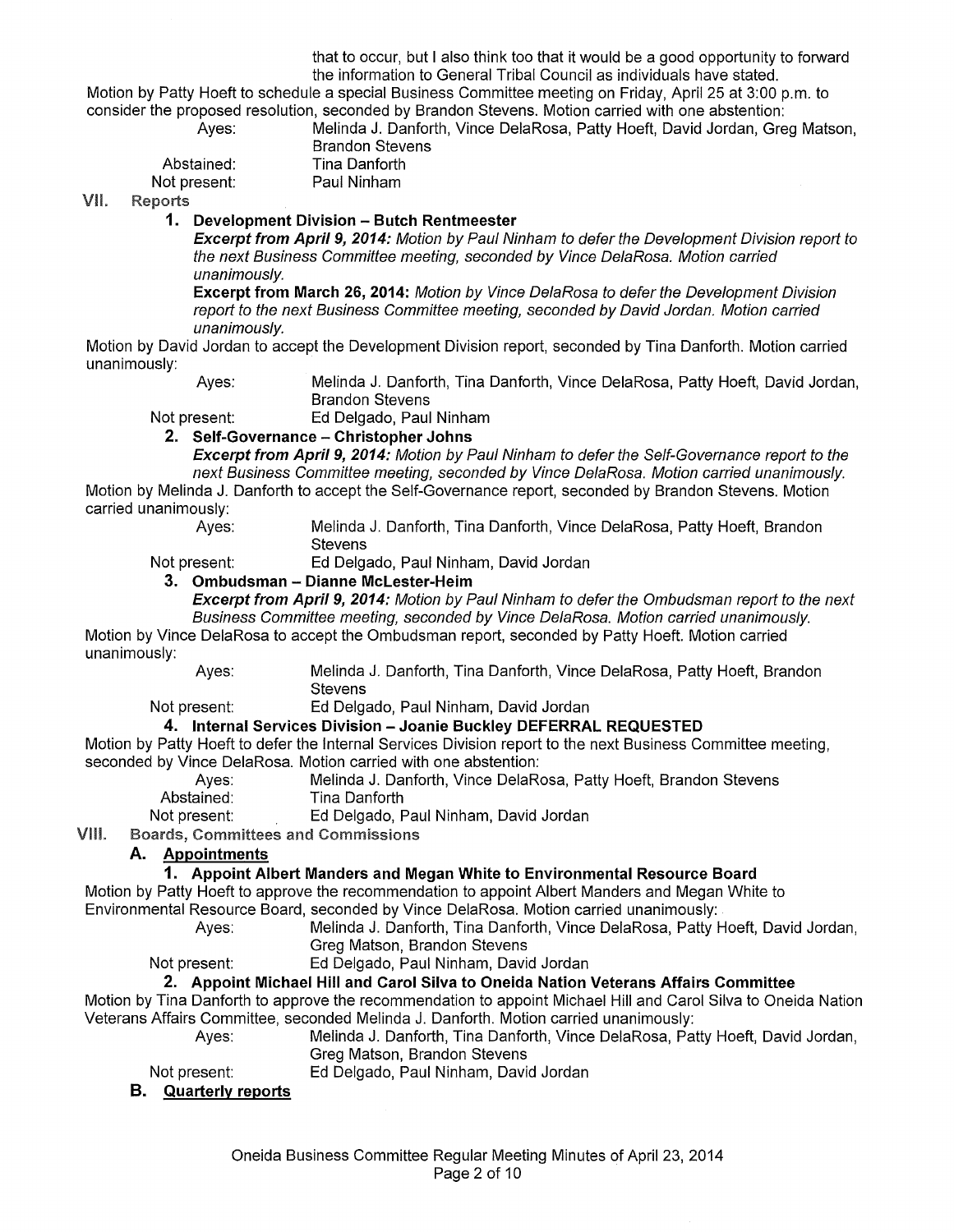that to occur, but I also think too that it would be a good opportunity to forward the information to General Tribal Council as individuals have stated.

Motion by Patty Hoeft to schedule a special Business Committee meeting on Friday, April 25 at 3:00p.m. to consider the proposed resolution, seconded by Brandon Stevens. Motion carried with one abstention: Melinda J. Danforth, Vince DelaRosa, Patty Hoeft, David Jordan, Greg Matson,

Not present:

Brandon Stevens Abstained: Tina Danforth<br>Iot present: Paul Ninham

VII. **Reports** 

# **1. Development Division - Butch Rentmeester**

**Excerpt from April9, 2014:** Motion by Paul Ninham to defer the Development Division report to the next Business Committee meeting, seconded by Vince DelaRosa. Motion carried unanimously.

**Excerpt from March 26, 2014:** Motion by Vince DelaRosa to defer the Development Division report to the next Business Committee meeting, seconded by David Jordan. Motion carried unanimously.

Motion by David Jordan to accept the Development Division report, seconded by Tina Danforth. Motion carried unanimously:

Ayes: Melinda J. Danforth, Tina Danforth, Vince DelaRosa, Patty Hoeft, David Jordan, Brandon Stevens

Not present: Ed Delgado, Paul Ninham

# **2. Self-Governance- Christopher Johns**

**Excerpt from April 9, 2014:** Motion by Paul Ninham to defer the Self-Governance report to the next Business Committee meeting, seconded by Vince DelaRosa. Motion carried unanimously.

Motion by Melinda J. Danforth to accept the Self-Governance report, seconded by Brandon Stevens. Motion carried unanimously:<br>Ayes:

Melinda J. Danforth, Tina Danforth, Vince DelaRosa, Patty Hoeft, Brandon **Stevens** 

Not present: Ed Delgado, Paul Ninham, David Jordan

# **3. Ombudsman - Dianne Mclester-Heim**

**Excerpt from April 9, 2014:** Motion by Paul Ninham to defer the Ombudsman report to the next Business Committee meeting, seconded by Vince DelaRosa. Motion carried unanimously.

Motion by Vince DelaRosa to accept the Ombudsman report, seconded by Patty Hoeft. Motion carried unanimously:

Ayes: Melinda J. Danforth, Tina Danforth, Vince DelaRosa, Patty Hoeft, Brandon Stevens

Not present: Ed Delgado, Paul Ninham, David Jordan

# **4. Internal Services Division - Joanie Buckley DEFERRAL REQUESTED**

Motion by Patty Hoeft to defer the Internal Services Division report to the next Business Committee meeting, seconded by Vince DelaRosa. Motion carried with one abstention:

- Ayes: Melinda J. Danforth, Vince DelaRosa, Patty Hoeft, Brandon Stevens
- Abstained: Tina Danforth
- Not present: Ed Delgado, Paul Ninham, David Jordan

VIII. **Boards, Committees and Commissions** 

# **A. Appointments**

# **1. Appoint Albert Manders and Megan White to Environmental Resource Board**

Motion by Patty Hoeft to approve the recommendation to appoint Albert Manders and Megan White to Environmental Resource Board, seconded by Vince DelaRosa. Motion carried unanimously:

Ayes: Melinda J. Danforth, Tina Danforth, Vince DelaRosa, Patty Hoeft, David Jordan, Greg Matson, Brandon Stevens

# Not present: Ed Delgado, Paul Ninham, David Jordan

# **2. Appoint Michael Hill and Carol Silva to Oneida Nation Veterans Affairs Committee**

Motion by Tina Danforth to approve the recommendation to appoint Michael Hill and Carol Silva to Oneida Nation Veterans Affairs Committee, seconded Melinda J. Danforth. Motion carried unanimously:

Ayes: Melinda J. Danforth, Tina Danforth, Vince DelaRosa, Patty Hoeft, David Jordan, Greg Matson, Brandon Stevens

Not present: Ed Delgado, Paul Ninham, David Jordan

# **B. Quarterly reports**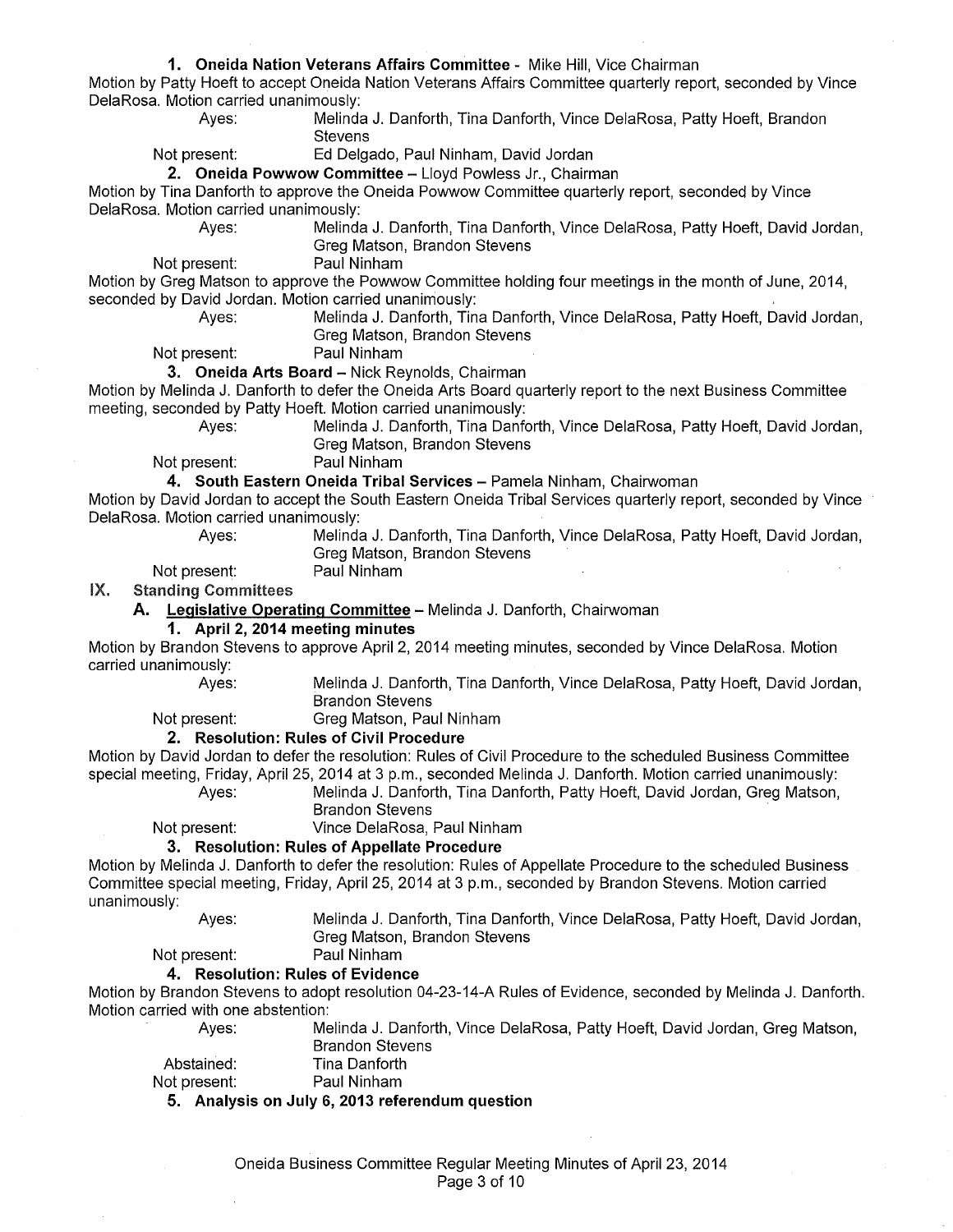#### **1. Oneida Nation Veterans Affairs Committee** - Mike Hill, Vice Chairman

Motion by Patty Hoeft to accept Oneida Nation Veterans Affairs Committee quarterly report, seconded by Vince DelaRosa. Motion carried unanimously:

Ayes: Melinda J. Danforth, Tina Danforth, Vince DelaRosa, Patty Hoeft, Brandon **Stevens** 

Not present: Ed Delgado, Paul Ninham, David Jordan

**2. Oneida Powwow Committee-** Lloyd Powless Jr., Chairman

Motion by Tina Danforth to approve the Oneida Powwow Committee quarterly report, seconded by Vince DelaRosa. Motion carried unanimously:

Ayes: Melinda J. Danforth, Tina Danforth, Vince DelaRosa, Patty Hoeft, David Jordan, Greg Matson, Brandon Stevens

Not present: Paul Ninham

Motion by Greg Matson to approve the Powwow Committee holding four meetings in the month of June, 2014, seconded by David Jordan. Motion carried unanimously:

Ayes: Melinda J. Danforth, Tina Danforth, Vince DelaRosa, Patty Hoeft, David Jordan,

Greg Matson, Brandon Stevens

Not present: Paul Ninham

**3. Oneida Arts Board-** Nick Reynolds, Chairman

Motion by Melinda J. Danforth to defer the Oneida Arts Board quarterly report to the next Business Committee meeting, seconded by Patty Hoeft. Motion carried unanimously:

> Ayes: Melinda J. Danforth, Tina Danforth, Vince DelaRosa, Patty Hoeft, David Jordan, Greg Matson, Brandon Stevens

Not present: Paul Ninham

4. South Eastern Oneida Tribal Services - Pamela Ninham, Chairwoman

Motion by David Jordan to accept the South Eastern Oneida Tribal Services quarterly report, seconded by Vince DelaRosa. Motion carried unanimously:

Ayes: Melinda J. Danforth, Tina Danforth, Vince DelaRosa, Patty Hoeft, David Jordan, Greg Matson, Brandon Stevens

Not present: Paul Ninham

IX. Standing Committees

**A. Legislative Operating Committee-** Melinda J. Danforth, Chairwoman

#### **1. April 2, 2014 meeting minutes**

Motion by Brandon Stevens to approve April2, 2014 meeting minutes, seconded by Vince DelaRosa. Motion carried unanimously:

Ayes: Melinda J. Danforth, Tina Danforth, Vince DelaRosa, Patty Hoeft, David Jordan, Brandon Stevens

Not present: Greg Matson, Paul Ninham

# **2. Resolution: Rules of Civil Procedure**

Motion by David Jordan to defer the resolution: Rules of Civil Procedure to the scheduled Business Committee special meeting, Friday, April25, 2014 at 3 p.m., seconded Melinda J. Danforth. Motion carried unanimously:

Ayes: Melinda J. Danforth, Tina Danforth, Patty Hoeft, David Jordan, Greg Matson, **Brandon Stevens** 

Not present: Vince DelaRosa, Paul Ninham

# **3. Resolution: Rules of Appellate Procedure**

Motion by Melinda J. Danforth to defer the resolution: Rules of Appellate Procedure to the scheduled Business Committee special meeting, Friday, April 25, 2014 at 3 p.m., seconded by Brandon Stevens. Motion carried unanimously:

Ayes: Melinda J. Danforth, Tina Danforth, Vince DelaRosa, Patty Hoeft, David Jordan, Greg Matson, Brandon Stevens

Not present: Paul Ninham

#### **4. Resolution: Rules of Evidence**

Motion by Brandon Stevens to adopt resolution 04-23-14-A Rules of Evidence, seconded by Melinda J. Danforth. Motion carried with one abstention:

Ayes: Melinda J. Danforth, Vince DelaRosa, Patty Hoeft, David Jordan, Greg Matson,

|              | <b>Brandon Stevens</b> |
|--------------|------------------------|
| Abstained:   | Tina Danforth          |
| Not present: | Paul Ninham            |

**5. Analysis on July 6, 2013 referendum question**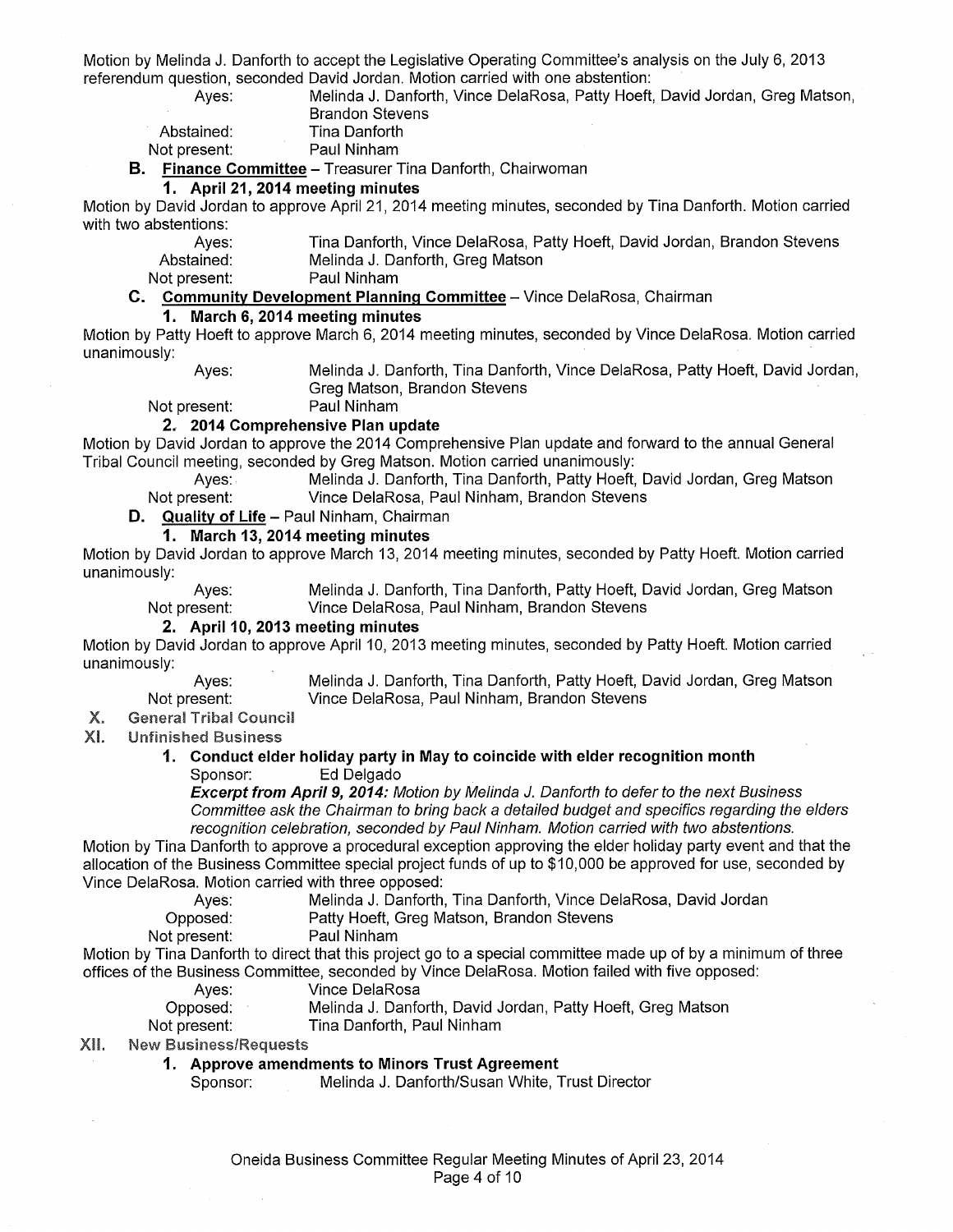Motion by Melinda J. Danforth to accept the Legislative Operating Committee's analysis on the July 6, 2013 referendum question, seconded David Jordan. Motion carried with one abstention:

> Ayes: Melinda J. Danforth, Vince DelaRosa, Patty Hoeft, David Jordan, Greg Matson, Brandon Stevens

| Abstained:  |  |
|-------------|--|
|             |  |
| ot procont: |  |

**Tina Danforth** Not present: Paul Ninham

**B. Finance Committee-** Treasurer Tina Danforth, Chairwoman

#### **1. April 21, 2014 meeting minutes**

Motion by David Jordan to approve April 21, 2014 meeting minutes, seconded by Tina Danforth. Motion carried with two abstentions:

> Ayes: Tina Danforth, Vince DelaRosa, Patty Hoeft, David Jordan, Brandon Stevens Abstained: Melinda J. Danforth, Greg Matson

Not present: Paul Ninham

#### **C. Community Development Planning Committee-** Vince DelaRosa, Chairman

# **1. March 6, 2014 meeting minutes**

Motion by Patty Hoeft to approve March 6, 2014 meeting minutes, seconded by Vince DelaRosa. Motion carried unanimously:

Ayes: Melinda J. Danforth, Tina Danforth, Vince DelaRosa, Patty Hoeft, David Jordan, Greg Matson, Brandon Stevens

Not present: Paul Ninham

#### **2. 2014 Comprehensive Plan update**

Motion by David Jordan to approve the 2014 Comprehensive Plan update and forward to the annual General Tribal Council meeting, seconded by Greg Matson. Motion carried unanimously:

Ayes: Melinda J. Danforth, Tina Danforth, Patty Hoeft, David Jordan, Greg Matson Not present: Vince DelaRosa, Paul Ninham, Brandon Stevens

#### **D. Quality of Life-** Paul Ninham, Chairman

# **1. March 13,2014 meeting minutes**

Motion by David Jordan to approve March 13, 2014 meeting minutes, seconded by Patty Hoeft. Motion carried unanimously:

Ayes: Melinda J. Danforth, Tina Danforth, Patty Hoeft, David Jordan, Greg Matson Not present: Vince DelaRosa, Paul Ninham, Brandon Stevens

### **2.** April 10, 2013 meeting minutes

Motion by David Jordan to approve April 10, 2013 meeting minutes, seconded by Patty Hoeft. Motion carried unanimously:

Ayes: Not present:

Melinda J. Danforth, Tina Danforth, Patty Hoeft, David Jordan, Greg Matson Vince DelaRosa, Paul Ninham, Brandon Stevens

#### $X_{\cdot}$ General Tribal Council

 $XL$ Unfinished Business

#### **1. Conduct elder holiday party in May to coincide with elder recognition month**  Sponsor: Ed Delgado

**Excerpt from April 9, 2014:** Motion by Melinda J. Danforth to defer to the next Business Committee ask the Chairman to bring back a detailed budget and specifics regarding the elders recognition celebration, seconded by Paul Ninham. Motion carried with two abstentions.

Motion by Tina Danforth to approve a procedural exception approving the elder holiday party event and that the allocation of the Business Committee special project funds of up to \$10,000 be approved for use, seconded by Vince DelaRosa. Motion carried with three opposed:

| Ayes: | Melinda J. Danforth, Tina Danforth, Vince DelaRosa, David Jordan |  |  |
|-------|------------------------------------------------------------------|--|--|

| Opposed: |  |  | Patty Hoeft, Greg Matson, Brandon Stevens |
|----------|--|--|-------------------------------------------|
|----------|--|--|-------------------------------------------|

Not present: Paul Ninham

Motion by Tina Danforth to direct that this project go to a special committee made up of by a minimum of three offices of the Business Committee, seconded by Vince DelaRosa. Motion failed with five opposed:

Ayes: Vince DelaRosa

| Opposed:     | Melinda J. Danforth, David Jordan, Patty Hoeft, Greg Matson |  |
|--------------|-------------------------------------------------------------|--|
| Not present: | Tina Danforth, Paul Ninham                                  |  |

#### XII. **New Business/Requests**

**1. Approve amendments to Minors Trust Agreement** 

Sponsor: Melinda J. Danforth/Susan White, Trust Director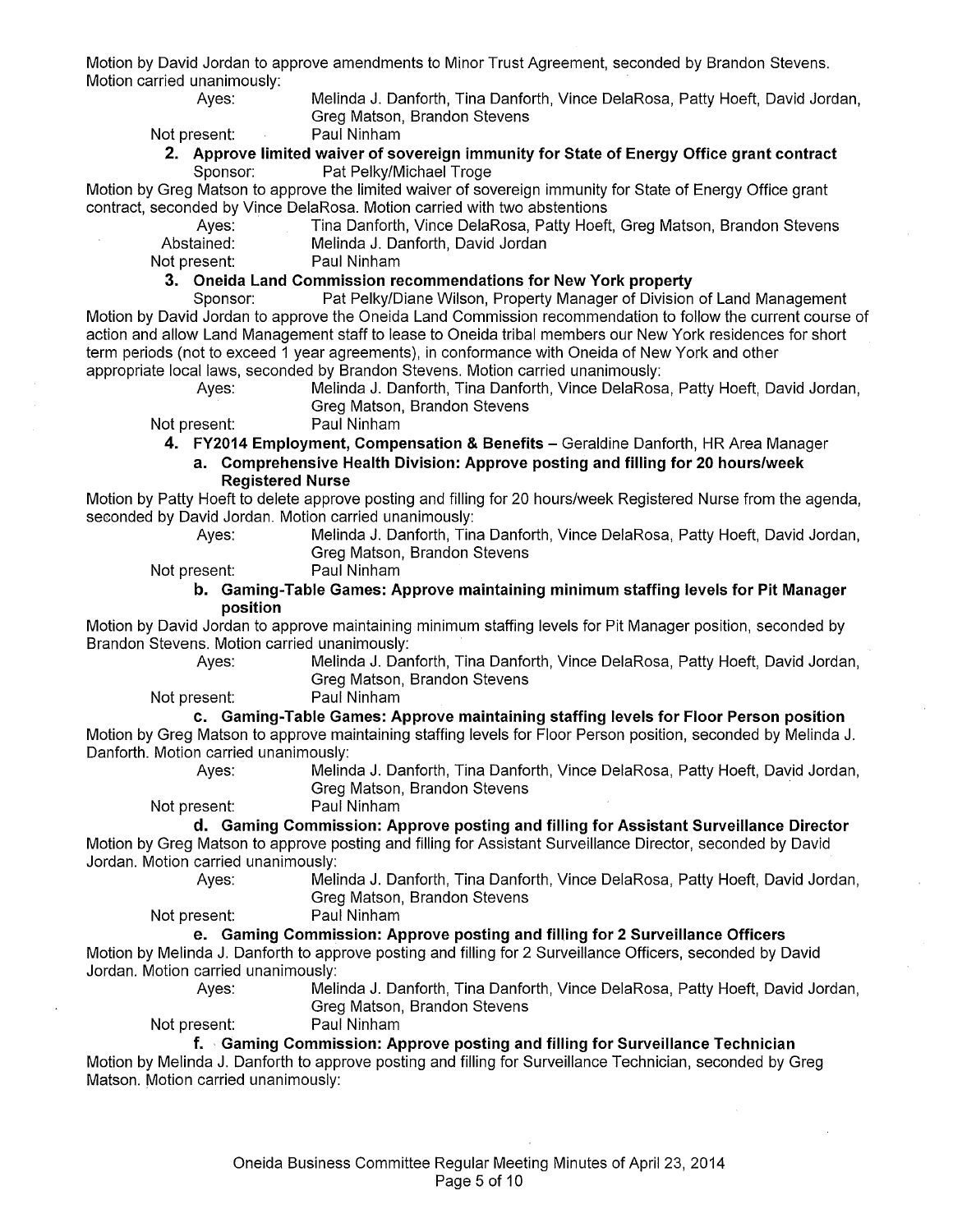Motion by David Jordan to approve amendments to Minor Trust Agreement, seconded by Brandon Stevens. Motion carried unanimously:

Ayes: Melinda J. Danforth, Tina Danforth, Vince DelaRosa, Patty Hoeft, David Jordan, Greg Matson, Brandon Stevens

# Not present: Paul Ninham **2. Approve limited waiver of sovereign immunity for State of Energy Office grant contract**

Sponsor: Pat Pelky/Michael Troge

Motion by Greg Matson to approve the limited waiver of sovereign immunity for State of Energy Office grant contract, seconded by Vince DelaRosa. Motion carried with two abstentions

Ayes: Tina Danforth, Vince DelaRosa, Patty Hoeft, Greg Matson, Brandon Stevens Abstained: Melinda J. Danforth, David Jordan

Not present: Paul Ninham

**3. Oneida Land Commission recommendations for New York property** 

Sponsor: Pat Pelky/Diane Wilson, Property Manager of Division of Land Management Motion by David Jordan to approve the Oneida Land Commission recommendation to follow the current course of action and allow Land Management staff to lease to Oneida tribal members our New York residences for short term periods (not to exceed 1 year agreements), in conformance with Oneida of New York and other appropriate local laws, seconded by Brandon Stevens. Motion carried unanimously:

Ayes: Melinda J. Danforth, Tina Danforth, Vince DelaRosa, Patty Hoeft, David Jordan, Greg Matson, Brandon Stevens

Not present: Paul Ninham

**4. FY2014 Employment, Compensation & Benefits-** Geraldine Danforth, HR Area Manager

**a. Comprehensive Health Division: Approve posting and filling for 20 hours/week Registered Nurse** 

Motion by Patty Hoeft to delete approve posting and filling for 20 hours/week Registered Nurse from the agenda, seconded by David Jordan. Motion carried unanimously:

- 
- Ayes: Melinda J. Danforth, Tina Danforth, Vince DelaRosa, Patty Hoeft, David Jordan, Greg Matson, Brandon Stevens

Not present: Paul Ninham

#### **b. Gaming-Table Games: Approve maintaining minimum staffing levels for Pit Manager position**

Motion by David Jordan to approve maintaining minimum staffing levels for Pit Manager position, seconded by Brandon Stevens. Motion carried unanimously:

Ayes: Melinda J. Danforth, Tina Danforth, Vince DelaRosa, Patty Hoeft, David Jordan, Greg Matson, Brandon Stevens

Not present: Paul Ninham

**c. Gaming-Table Games: Approve maintaining staffing levels for Floor Person position** 

Motion by Greg Matson to approve maintaining staffing levels for Floor Person position, seconded by Melinda J. Danforth. Motion carried unanimously:

Ayes: Melinda J. Danforth, Tina Danforth, Vince DelaRosa, Patty Hoeft, David Jordan, Greg Matson, Brandon Stevens

Not present: Paul Ninham

**d. Gaming Commission: Approve posting and filling for Assistant Surveillance Director**  Motion by Greg Matson to approve posting and filling for Assistant Surveillance Director, seconded by David Jordan. Motion carried unanimously:

Ayes: Melinda J. Danforth, Tina Danforth, Vince DelaRosa, Patty Hoeft, David Jordan, Greg Matson, Brandon Stevens

Not present: Paul Ninham

### **e. Gaming Commission: Approve posting and filling for 2 Surveillance Officers**

Motion by Melinda J. Danforth to approve posting and filling for 2 Surveillance Officers, seconded by David Jordan. Motion carried unanimously:

Ayes: Melinda J. Danforth, Tina Danforth, Vince DelaRosa, Patty Hoeft, David Jordan, Greg Matson, Brandon Stevens

Not present: Paul Ninham

# **f. · Gaming Commission: Approve posting and filling for Surveillance Technician**

Motion by Melinda J. Danforth to approve posting and filling for Surveillance Technician, seconded by Greg Matson. Motion carried unanimously: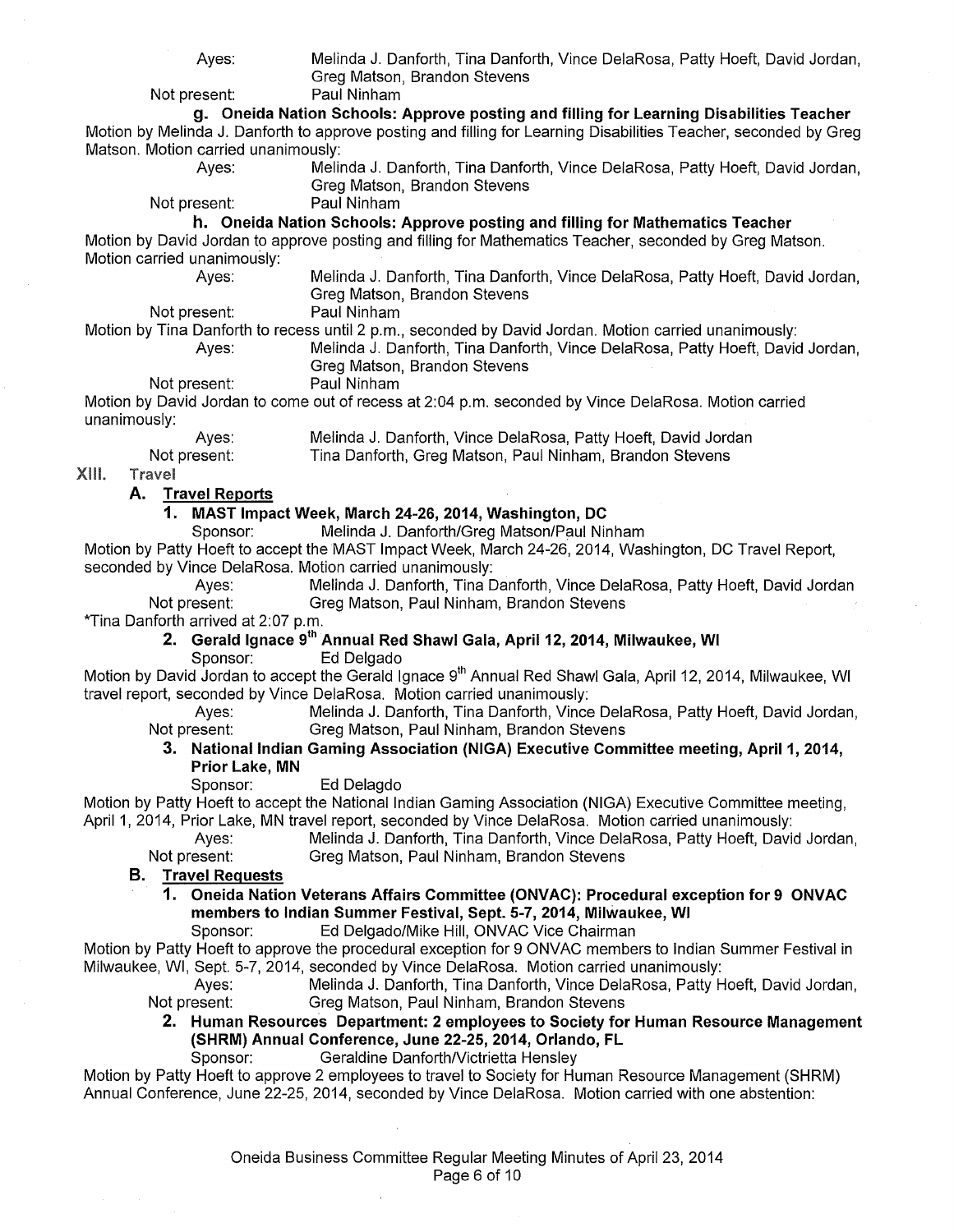Ayes: Melinda J. Danforth, Tina Danforth, Vince DelaRosa, Patty Hoeft, David Jordan, Greg Matson, Brandon Stevens

Not present: Paul Ninham

**g. Oneida Nation Schools: Approve posting and filling for Learning Disabilities Teacher**  Motion by Melinda J. Danforth to approve posting and filling for Learning Disabilities Teacher, seconded by Greg Matson. Motion carried unanimously:<br>Ayes: Melii

Melinda J. Danforth, Tina Danforth, Vince DelaRosa, Patty Hoeft, David Jordan, Greg Matson, Brandon Stevens<br>Paul Ninham

Not present:

**h. Oneida Nation Schools: Approve posting and filling for Mathematics Teacher** 

Motion by David Jordan to approve posting and filling for Mathematics Teacher, seconded by Greg Matson. Motion carried unanimously:

Ayes: Melinda J. Danforth, Tina Danforth, Vince DelaRosa, Patty Hoeft, David Jordan, Greg Matson, Brandon Stevens

Not present: Paul Ninham

Motion by Tina Danforth to recess until 2 p.m., seconded by David Jordan. Motion carried unanimously:

Melinda J. Danforth, Tina Danforth, Vince DelaRosa, Patty Hoeft, David Jordan, Greg Matson, Brandon Stevens

Not present: Paul Ninham

Motion by David Jordan to come out of recess at 2:04 p.m. seconded by Vince DelaRosa. Motion carried unanimously:

| Ayes:        | Melinda J. Danforth, Vince DelaRosa, Patty Hoeft, David Jordan |
|--------------|----------------------------------------------------------------|
| Not present: | Tina Danforth, Greg Matson, Paul Ninham, Brandon Stevens       |

XIII. **Travel** 

# **A. Travel Reports**

**1. MAST Impact Week, March 24-26, 2014, Washington, DC** 

Sponsor: Melinda J. Danforth/Greg Matson/Paul Ninham

Motion by Patty Hoeft to accept the MAST Impact Week, March 24-26, 2014, Washington, DC Travel Report, seconded by Vince DelaRosa. Motion carried unanimously:

Ayes: Melinda J. Danforth, Tina Danforth, Vince DelaRosa, Patty Hoeft, David Jordan<br>Not present: Greg Matson, Paul Ninham, Brandon Stevens Greg Matson, Paul Ninham, Brandon Stevens

\*Tina Danforth arrived at 2:07 p.m.

**2. Gerald Ignace** gth **Annual Red Shawl Gala, April12, 2014, Milwaukee, WI** 

Sponsor: Ed Delgado

Motion by David Jordan to accept the Gerald Ignace 9<sup>th</sup> Annual Red Shawl Gala, April 12, 2014, Milwaukee, WI travel report, seconded by Vince DelaRosa. Motion carried unanimously:

Ayes: Melinda J. Danforth, Tina Danforth, Vince DelaRosa, Patty Hoeft, David Jordan, Not present: Greq Matson, Paul Ninham, Brandon Stevens Greg Matson, Paul Ninham, Brandon Stevens

# **3. National Indian Gaming Association (NIGA) Executive Committee meeting, April1, 2014, Prior Lake, MN**

Sponsor: Ed Delagdo

Motion by Patty Hoeft to accept the National Indian Gaming Association (NIGA) Executive Committee meeting, April 1, 2014, Prior Lake, MN travel report, seconded by Vince DelaRosa. Motion carried unanimously:

Ayes: Melinda J. Danforth, Tina Danforth, Vince DelaRosa, Patty Hoeft, David Jordan, Not present: Greg Matson, Paul Ninham, Brandon Stevens

**B. Travel Requests** 

- **1. Oneida Nation Veterans Affairs Committee (ONVAC): Procedural exception for 9 ONVAC members to Indian Summer Festival, Sept. 5-7, 2014, Milwaukee, WI** 
	- Sponsor: Ed Delgado/Mike Hill, ONVAC Vice Chairman

Motion by Patty Hoeft to approve the procedural exception for 9 ONVAC members to Indian Summer Festival in Milwaukee, WI, Sept. 5-7, 2014, seconded by Vince DelaRosa. Motion carried unanimously:

Ayes: Melinda J. Danforth, Tina Danforth, Vince DelaRosa, Patty Hoeft, David Jordan, Not present: Greg Matson, Paul Ninham, Brandon Stevens

**2. Human Resources Department: 2 employees to Society for Human Resource Management (SHRM) Annual Conference, June 22-25, 2014, Orlando, FL** 

Sponsor: Geraldine Danforth/Victrietta Hensley

Motion by Patty Hoeft to approve 2 employees to travel to Society for Human Resource Management (SHRM) Annual Conference, June 22-25, 2014, seconded by Vince DelaRosa. Motion carried with one abstention: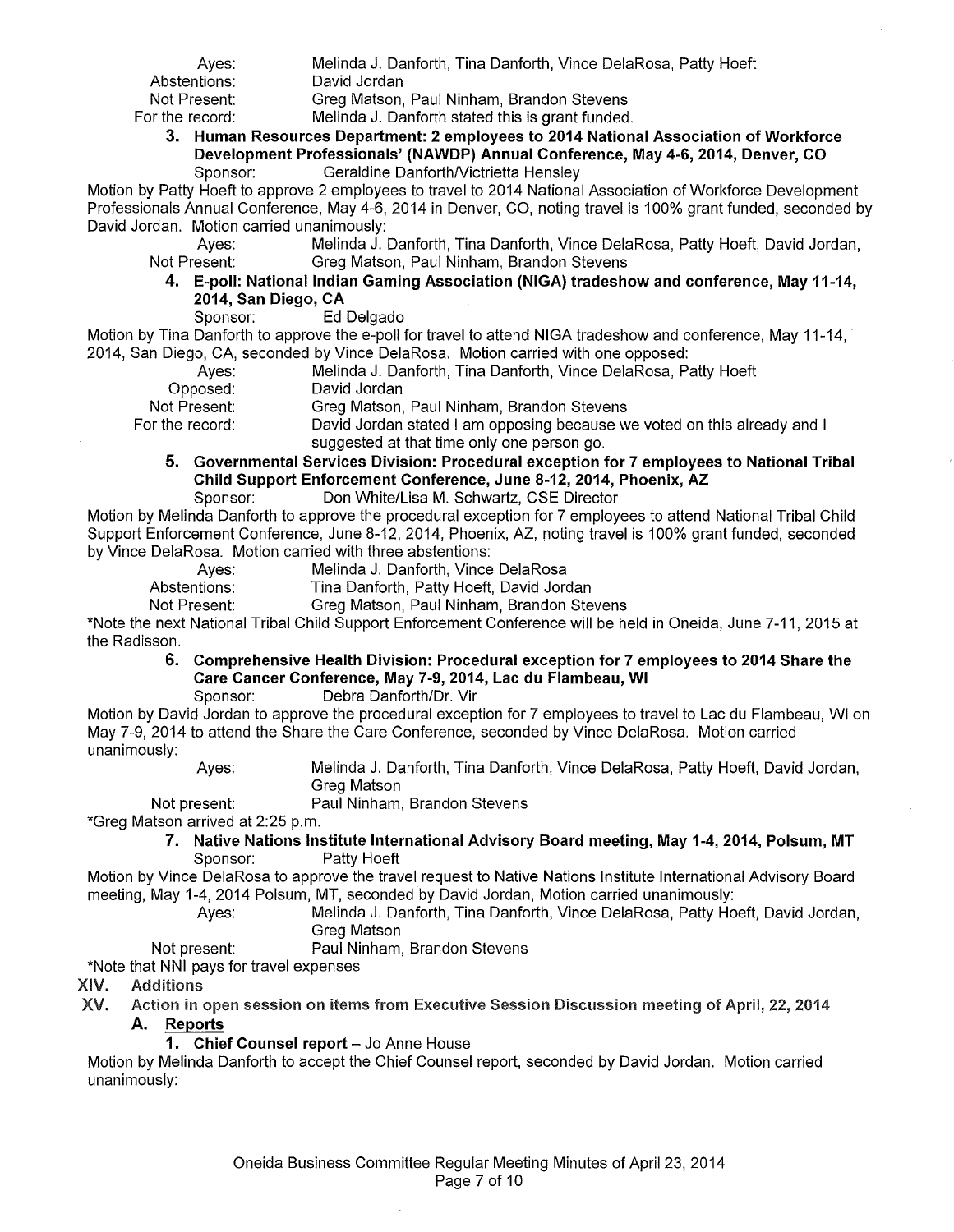Ayes: Melinda J. Danforth, Tina Danforth, Vince DelaRosa, Patty Hoeft<br>Abstentions: David Jordan Abstentions: David Jordan<br>Not Present: Grea Matson Not Present: Greg Matson, Paul Ninham, Brandon Stevens<br>Melinda J. Danforth stated this is grant funded Melinda J. Danforth stated this is grant funded.

#### **3. Human Resources Department: 2 employees to 2014 National Association of Workforce Development Professionals' (NAWDP) Annual Conference, May 4-6, 2014, Denver, CO**  Geraldine Danforth/Victrietta Hensley

Motion by Patty Hoeft to approve 2 employees to travel to 2014 National Association of Workforce Development Professionals Annual Conference, May 4-6, 2014 in Denver, CO, noting travel is 100% grant funded, seconded by David Jordan. Motion carried unanimously:

Ayes: Melinda J. Danforth, Tina Danforth, Vince DelaRosa, Patty Hoeft, David Jordan, Not Present: Greq Matson, Paul Ninham, Brandon Stevens Greg Matson, Paul Ninham, Brandon Stevens

**4. E-poll: National Indian Gaming Association (NIGA) tradeshow and conference, May 11-14, 2014, San Diego, CA** 

Sponsor: Ed Delgado

Motion by Tina Danforth to approve the e-poll for travel to attend NIGA tradeshow and conference, May 11-14, 2014, San Diego, CA, seconded by Vince DelaRosa. Motion carried with one opposed:

|                   | $2000$ and $2000$ and $2000$ and $2000$ and $2000$ and $2000$ and $2000$ and $2000$ and $2000$ |
|-------------------|------------------------------------------------------------------------------------------------|
| Aves:             | Melinda J. Danforth, Tina Danforth, Vince DelaRosa, Patty Hoeft                                |
| Opposed:          | David Jordan                                                                                   |
| Not Present:      | Greg Matson, Paul Ninham, Brandon Stevens                                                      |
| For the record: . | David Jordan stated I am opposing because we voted on this already and I                       |
|                   | suggested at that time only one person go.                                                     |

- **5. Governmental Services Division: Procedural exception for 7 employees to National Tribal Child Support Enforcement Conference, June 8-12, 2014, Phoenix, AZ** 
	- Sponsor: Don White/Lisa M. Schwartz, CSE Director

Motion by Melinda Danforth to approve the procedural exception for 7 employees to attend National Tribal Child Support Enforcement Conference, June 8-12, 2014, Phoenix, AZ, noting travel is 100% grant funded, seconded by Vince DelaRosa. Motion carried with three abstentions:

Ayes: Melinda J. Danforth, Vince DelaRosa<br>Abstentions: Tina Danforth, Patty Hoeft, David Jore

Tina Danforth, Patty Hoeft, David Jordan

Not Present: Greg Matson, Paul Ninham, Brandon Stevens

\*Note the next National Tribal Child Support Enforcement Conference will be held in Oneida, June 7-11, 2015 at the Radisson.

# **6. Comprehensive Health Division: Procedural exception for 7 employees to 2014 Share the Care Cancer Conference, May 7-9,2014, Lac du Flambeau, WI**

Sponsor: Debra Danforth/Or. Vir

Motion by David Jordan to approve the procedural exception for 7 employees to travel to Lac du Flambeau, WI on May 7-9, 2014 to attend the Share the Care Conference, seconded by Vince DelaRosa. Motion carried unanimously:

Ayes: Melinda J. Danforth, Tina Danforth, Vince DelaRosa, Patty Hoeft, David Jordan, Greg Matson

Not present: Paul Ninham, Brandon Stevens

\*Greg Matson arrived at 2:25 p.m.

# **7. Native Nations Institute International Advisory Board meeting, May 1-4, 2014, Polsum, MT**  Sponsor: Patty Hoeft

Motion by Vince DelaRosa to approve the travel request to Native Nations Institute International Advisory Board meeting, May 1-4, 2014 Polsum, MT, seconded by David Jordan, Motion carried unanimously:

Ayes: Melinda J. Danforth, Tina Danforth, Vince DelaRosa, Patty Hoeft, David Jordan, Greg Matson

Not present: Paul Ninham, Brandon Stevens

\*Note that NNI pays for travel expenses

- XIV. Additions
- XV. Action in open session on items from Executive Session Discussion meeting of April, 22, 2014 **A. Reports** 
	- 1. Chief Counsel report Jo Anne House

Motion by Melinda Danforth to accept the Chief Counsel report, seconded by David Jordan. Motion carried unanimously: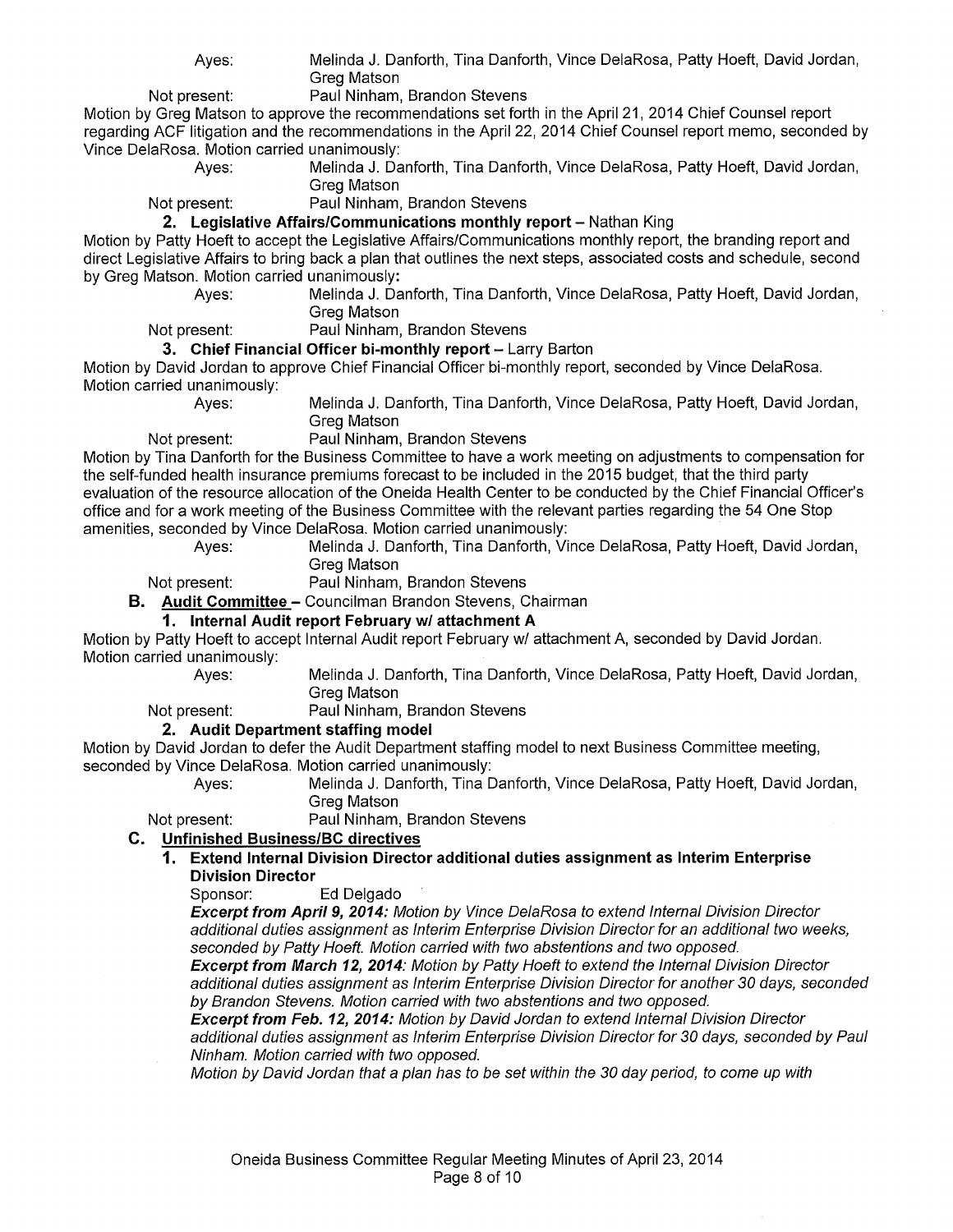Ayes: Melinda J. Danforth, Tina Danforth, Vince DelaRosa, Patty Hoeft, David Jordan, Greg Matson

Not present: Paul Ninham, Brandon Stevens

Motion by Greg Matson to approve the recommendations set forth in the April21, 2014 Chief Counsel report regarding ACF litigation and the recommendations in the April 22, 2014 Chief Counsel report memo, seconded by Vince DelaRosa. Motion carried unanimously:

Ayes: Melinda J. Danforth, Tina Danforth, Vince DelaRosa, Patty Hoeft, David Jordan, Greg Matson

Not present: Paul Ninham, Brandon Stevens

**2. Legislative Affairs/Communications monthly report** – Nathan King

Motion by Patty Hoeft to accept the Legislative Affairs/Communications monthly report, the branding report and direct Legislative Affairs to bring back a plan that outlines the next steps, associated costs and schedule, second by Greg Matson. Motion carried unanimously:

Ayes: Melinda J. Danforth, Tina Danforth, Vince DelaRosa, Patty Hoeft, David Jordan, Greg Matson

Not present: Paul Ninham, Brandon Stevens

### **3. Chief Financial Officer bi-monthly report** - Larry Barton

Motion by David Jordan to approve Chief Financial Officer bi-monthly report, seconded by Vince DelaRosa. Motion carried unanimously:

Ayes: Melinda J. Danforth, Tina Danforth, Vince DelaRosa, Patty Hoeft, David Jordan,

Greg Matson Not present: Paul Ninham, Brandon Stevens

Motion by Tina Danforth for the Business Committee to have a work meeting on adjustments to compensation for the self-funded health insurance premiums forecast to be included in the 2015 budget, that the third party evaluation of the resource allocation of the Oneida Health Center to be conducted by the Chief Financial Officer's office and for a work meeting of the Business Committee with the relevant parties regarding the 54 One Stop amenities, seconded by Vince DelaRosa. Motion carried unanimously:

Ayes: Melinda J. Danforth, Tina Danforth, Vince DelaRosa, Patty Hoeft, David Jordan, Greg Matson

Not present: Paul Ninham, Brandon Stevens

**B. Audit Committee-** Councilman Brandon Stevens, Chairman

# **1. Internal Audit report February w/ attachment A**

Motion by Patty Hoeft to accept Internal Audit report February w/ attachment A, seconded by David Jordan. Motion carried unanimously:

Ayes: Melinda J. Danforth, Tina Danforth, Vince DelaRosa, Patty Hoeft, David Jordan, Greg Matson

Not present: Paul Ninham, Brandon Stevens

# **2. Audit Department staffing model**

Motion by David Jordan to defer the Audit Department staffing model to next Business Committee meeting, seconded by Vince DelaRosa. Motion carried unanimously:

Ayes: Melinda J. Danforth, Tina Danforth, Vince DelaRosa, Patty Hoeft, David Jordan, Greg Matson

Not present: Paul Ninham, Brandon Stevens

# **C. Unfinished Business/BC directives**

# **1. Extend Internal Division Director additional duties assignment as Interim Enterprise Division Director**

Sponsor: Ed Delgado

**Excerpt from Apri/9, 2014:** Motion by Vince DelaRosa to extend Internal Division Director additional duties assignment as Interim Enterprise Division Director for an additional two weeks, seconded by Patty Hoeft. Motion carried with two abstentions and two opposed.

**Excerpt from March 12, 2014:** Motion by Patty Hoeft to extend the Internal Division Director additional duties assignment as Interim Enterprise Division Director for another 30 days, seconded by Brandon Stevens. Motion carried with two abstentions and two opposed.

**Excerpt from Feb. 12, 2014:** Motion by David Jordan to extend Internal Division Director additional duties assignment as Interim Enterprise Division Director for 30 days, seconded by Paul Ninham. Motion carried with two opposed.

Motion by David Jordan that a plan has to be set within the 30 day period, to come up with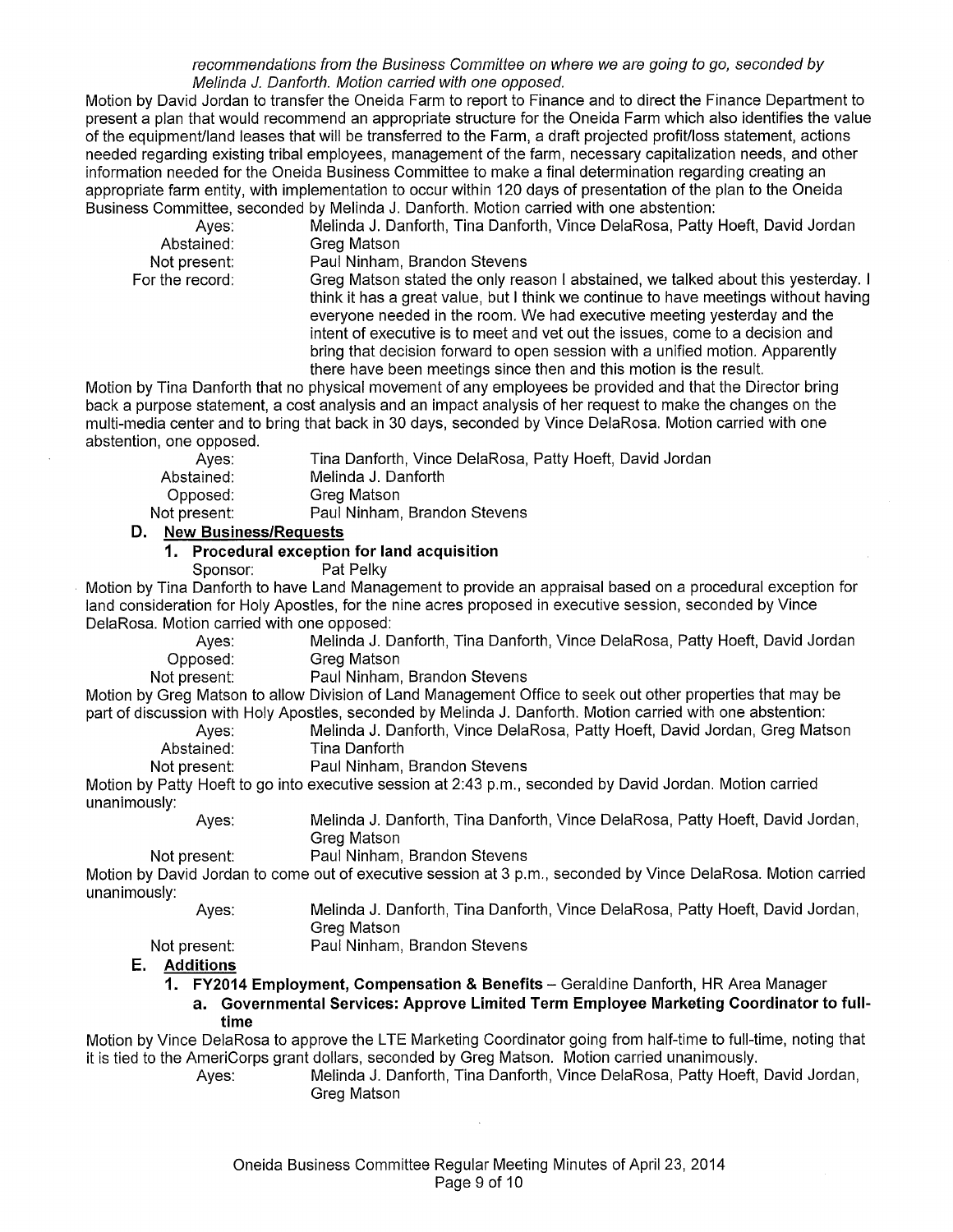recommendations from the Business Committee on where we are going to go, seconded by Melinda J. Danforth. Motion carried with one opposed.

Motion by David Jordan to transfer the Oneida Farm to report to Finance and to direct the Finance Department to present a plan that would recommend an appropriate structure for the Oneida Farm which also identifies the value of the equipmenVIand leases that will be transferred to the Farm, a draft projected profiVIoss statement, actions needed regarding existing tribal employees, management of the farm, necessary capitalization needs, and other information needed for the Oneida Business Committee to make a final determination regarding creating an appropriate farm entity, with implementation to occur within 120 days of presentation of the plan to the Oneida Business Committee, seconded by Melinda J. Danforth. Motion carried with one abstention:

| Aves:           | Melinda J. Danforth, Tina Danforth, Vince DelaRosa, Patty Hoeft, David Jordan       |
|-----------------|-------------------------------------------------------------------------------------|
| Abstained:      | Greg Matson                                                                         |
| Not present:    | Paul Ninham, Brandon Stevens                                                        |
| For the record: | Greg Matson stated the only reason I abstained, we talked about this yesterday. I   |
|                 | think it has a great value, but I think we continue to have meetings without having |
|                 | everyone needed in the room. We had executive meeting yesterday and the             |
|                 | intent of executive is to meet and vet out the issues, come to a decision and       |
|                 | bring that decision forward to open session with a unified motion. Apparently       |

there have been meetings since then and this motion is the result.

Motion by Tina Danforth that no physical movement of any employees be provided and that the Director bring back a purpose statement, a cost analysis and an impact analysis of her request to make the changes on the multi-media center and to bring that back in 30 days, seconded by Vince DelaRosa. Motion carried with one abstention, one opposed.

| Aves:        | Tina Danforth, Vince DelaRosa, Patty Hoeft, David Jordan |
|--------------|----------------------------------------------------------|
| Abstained:   | Melinda J. Danforth                                      |
| Opposed:     | Greg Matson                                              |
| Not present: | Paul Ninham, Brandon Stevens                             |

**D. New Business/Requests** 

#### **1. Procedural exception for land acquisition**

Sponsor: Pat Pelky

Motion by Tina Danforth to have Land Management to provide an appraisal based on a procedural exception for land consideration for Holy Apostles, for the nine acres proposed in executive session, seconded by Vince DelaRosa. Motion carried with one opposed:

Ayes: Melinda J. Danforth, Tina Danforth, Vince DelaRosa, Patty Hoeft, David Jordan

Opposed: Greg Matson<br>Not present: Paul Ninham, Paul Ninham, Brandon Stevens

Motion by Greg Matson to allow Division of Land Management Office to seek out other properties that may be part of discussion with Holy Apostles, seconded by Melinda J. Danforth. Motion carried with one abstention:

Melinda J. Danforth, Vince DelaRosa, Patty Hoeft, David Jordan, Greg Matson Abstained: Tina Danforth

Not present: Paul Ninham, Brandon Stevens

Motion by Patty Hoeft to go into executive session at 2:43 p.m., seconded by David Jordan. Motion carried unanimously:

Ayes: Melinda J. Danforth, Tina Danforth, Vince DelaRosa, Patty Hoeft, David Jordan, Greg Matson

Not present: Paul Ninham, Brandon Stevens

Motion by David Jordan to come out of executive session at 3 p.m., seconded by Vince DelaRosa. Motion carried unanimously:

Melinda J. Danforth, Tina Danforth, Vince DelaRosa, Patty Hoeft, David Jordan, Greg Matson

Not present:

Ayes:

Paul Ninham, Brandon Stevens

#### **E. Additions**

**1. FY2014 Employment, Compensation & Benefits-** Geraldine Danforth, HR Area Manager

**a. Governmental Services: Approve Limited Term Employee Marketing Coordinator to fulltime** 

Motion by Vince DelaRosa to approve the LTE Marketing Coordinator going from half-time to full-time, noting that it is tied to the AmeriCorps grant dollars, seconded by Greg Matson. Motion carried unanimously.

Ayes: Melinda J. Danforth, Tina Danforth, Vince DelaRosa, Patty Hoeft, David Jordan, Greg Matson